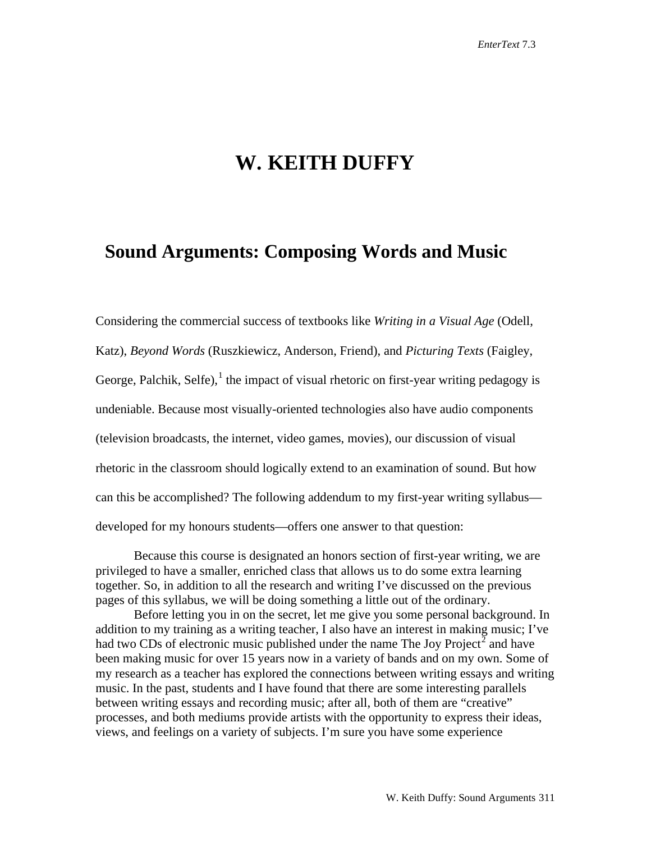## **W. KEITH DUFFY**

## **Sound Arguments: Composing Words and Music**

Considering the commercial success of textbooks like *Writing in a Visual Age* (Odell, Katz), *Beyond Words* (Ruszkiewicz, Anderson, Friend), and *Picturing Texts* (Faigley, George, Palchik, Selfe), $<sup>1</sup>$  $<sup>1</sup>$  $<sup>1</sup>$  the impact of visual rhetoric on first-year writing pedagogy is</sup> undeniable. Because most visually-oriented technologies also have audio components (television broadcasts, the internet, video games, movies), our discussion of visual rhetoric in the classroom should logically extend to an examination of sound. But how can this be accomplished? The following addendum to my first-year writing syllabus developed for my honours students—offers one answer to that question:

Because this course is designated an honors section of first-year writing, we are privileged to have a smaller, enriched class that allows us to do some extra learning together. So, in addition to all the research and writing I've discussed on the previous pages of this syllabus, we will be doing something a little out of the ordinary.

Before letting you in on the secret, let me give you some personal background. In addition to my training as a writing teacher, I also have an interest in making music; I've had two CDs of electronic music published under the name The Joy Project<sup>[2](#page-10-1)</sup> and have been making music for over 15 years now in a variety of bands and on my own. Some of my research as a teacher has explored the connections between writing essays and writing music. In the past, students and I have found that there are some interesting parallels between writing essays and recording music; after all, both of them are "creative" processes, and both mediums provide artists with the opportunity to express their ideas, views, and feelings on a variety of subjects. I'm sure you have some experience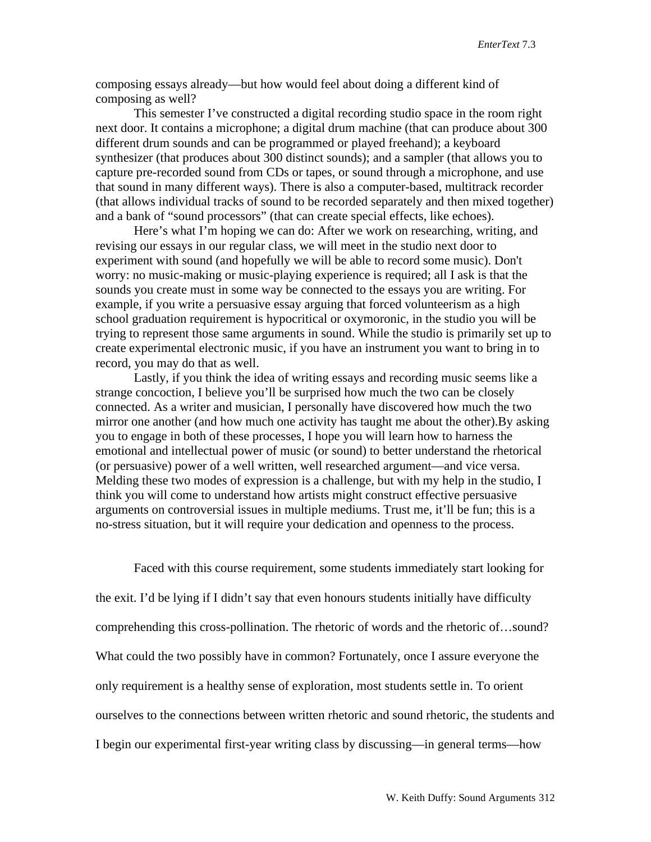composing essays already—but how would feel about doing a different kind of composing as well?

This semester I've constructed a digital recording studio space in the room right next door. It contains a microphone; a digital drum machine (that can produce about 300 different drum sounds and can be programmed or played freehand); a keyboard synthesizer (that produces about 300 distinct sounds); and a sampler (that allows you to capture pre-recorded sound from CDs or tapes, or sound through a microphone, and use that sound in many different ways). There is also a computer-based, multitrack recorder (that allows individual tracks of sound to be recorded separately and then mixed together) and a bank of "sound processors" (that can create special effects, like echoes).

Here's what I'm hoping we can do: After we work on researching, writing, and revising our essays in our regular class, we will meet in the studio next door to experiment with sound (and hopefully we will be able to record some music). Don't worry: no music-making or music-playing experience is required; all I ask is that the sounds you create must in some way be connected to the essays you are writing. For example, if you write a persuasive essay arguing that forced volunteerism as a high school graduation requirement is hypocritical or oxymoronic, in the studio you will be trying to represent those same arguments in sound. While the studio is primarily set up to create experimental electronic music, if you have an instrument you want to bring in to record, you may do that as well.

Lastly, if you think the idea of writing essays and recording music seems like a strange concoction, I believe you'll be surprised how much the two can be closely connected. As a writer and musician, I personally have discovered how much the two mirror one another (and how much one activity has taught me about the other).By asking you to engage in both of these processes, I hope you will learn how to harness the emotional and intellectual power of music (or sound) to better understand the rhetorical (or persuasive) power of a well written, well researched argument—and vice versa. Melding these two modes of expression is a challenge, but with my help in the studio, I think you will come to understand how artists might construct effective persuasive arguments on controversial issues in multiple mediums. Trust me, it'll be fun; this is a no-stress situation, but it will require your dedication and openness to the process.

Faced with this course requirement, some students immediately start looking for the exit. I'd be lying if I didn't say that even honours students initially have difficulty comprehending this cross-pollination. The rhetoric of words and the rhetoric of…sound? What could the two possibly have in common? Fortunately, once I assure everyone the only requirement is a healthy sense of exploration, most students settle in. To orient ourselves to the connections between written rhetoric and sound rhetoric, the students and I begin our experimental first-year writing class by discussing—in general terms—how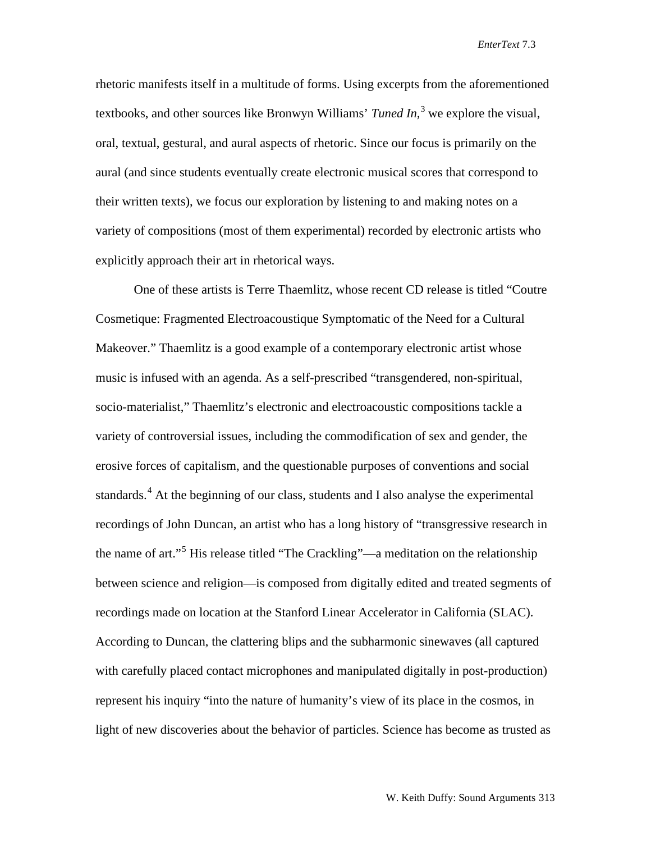rhetoric manifests itself in a multitude of forms. Using excerpts from the aforementioned textbooks, and other sources like Bronwyn Williams' *Tuned In,* [3](#page-11-0) we explore the visual, oral, textual, gestural, and aural aspects of rhetoric. Since our focus is primarily on the aural (and since students eventually create electronic musical scores that correspond to their written texts), we focus our exploration by listening to and making notes on a variety of compositions (most of them experimental) recorded by electronic artists who explicitly approach their art in rhetorical ways.

One of these artists is Terre Thaemlitz, whose recent CD release is titled "Coutre Cosmetique: Fragmented Electroacoustique Symptomatic of the Need for a Cultural Makeover." Thaemlitz is a good example of a contemporary electronic artist whose music is infused with an agenda. As a self-prescribed "transgendered, non-spiritual, socio-materialist," Thaemlitz's electronic and electroacoustic compositions tackle a variety of controversial issues, including the commodification of sex and gender, the erosive forces of capitalism, and the questionable purposes of conventions and social standards.<sup>[4](#page-11-1)</sup> At the beginning of our class, students and I also analyse the experimental recordings of John Duncan, an artist who has a long history of "transgressive research in the name of art."[5](#page-11-2) His release titled "The Crackling"—a meditation on the relationship between science and religion—is composed from digitally edited and treated segments of recordings made on location at the Stanford Linear Accelerator in California (SLAC). According to Duncan, the clattering blips and the subharmonic sinewaves (all captured with carefully placed contact microphones and manipulated digitally in post-production) represent his inquiry "into the nature of humanity's view of its place in the cosmos, in light of new discoveries about the behavior of particles. Science has become as trusted as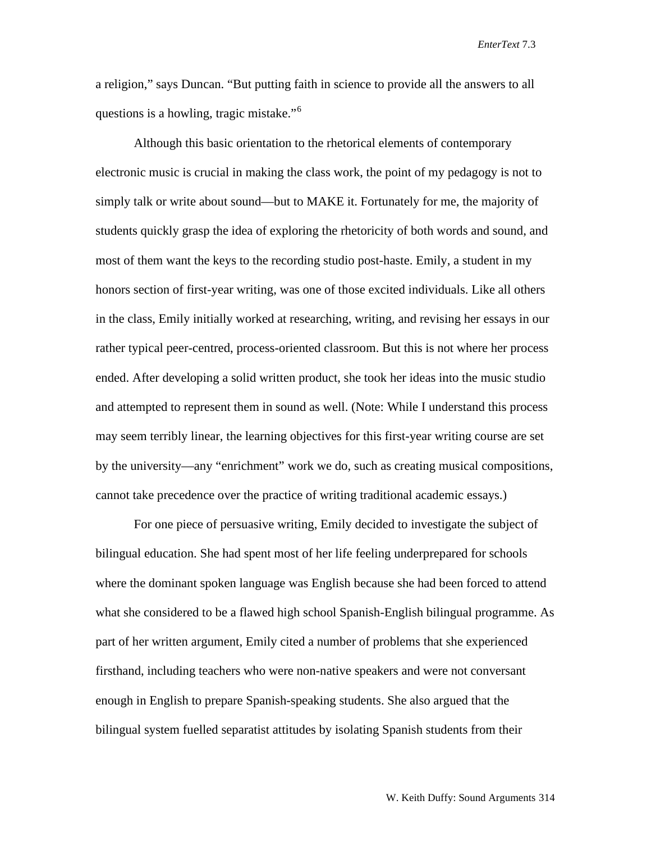a religion," says Duncan. "But putting faith in science to provide all the answers to all questions is a howling, tragic mistake."[6](#page-12-0)

Although this basic orientation to the rhetorical elements of contemporary electronic music is crucial in making the class work, the point of my pedagogy is not to simply talk or write about sound—but to MAKE it. Fortunately for me, the majority of students quickly grasp the idea of exploring the rhetoricity of both words and sound, and most of them want the keys to the recording studio post-haste. Emily, a student in my honors section of first-year writing, was one of those excited individuals. Like all others in the class, Emily initially worked at researching, writing, and revising her essays in our rather typical peer-centred, process-oriented classroom. But this is not where her process ended. After developing a solid written product, she took her ideas into the music studio and attempted to represent them in sound as well. (Note: While I understand this process may seem terribly linear, the learning objectives for this first-year writing course are set by the university—any "enrichment" work we do, such as creating musical compositions, cannot take precedence over the practice of writing traditional academic essays.)

For one piece of persuasive writing, Emily decided to investigate the subject of bilingual education. She had spent most of her life feeling underprepared for schools where the dominant spoken language was English because she had been forced to attend what she considered to be a flawed high school Spanish-English bilingual programme. As part of her written argument, Emily cited a number of problems that she experienced firsthand, including teachers who were non-native speakers and were not conversant enough in English to prepare Spanish-speaking students. She also argued that the bilingual system fuelled separatist attitudes by isolating Spanish students from their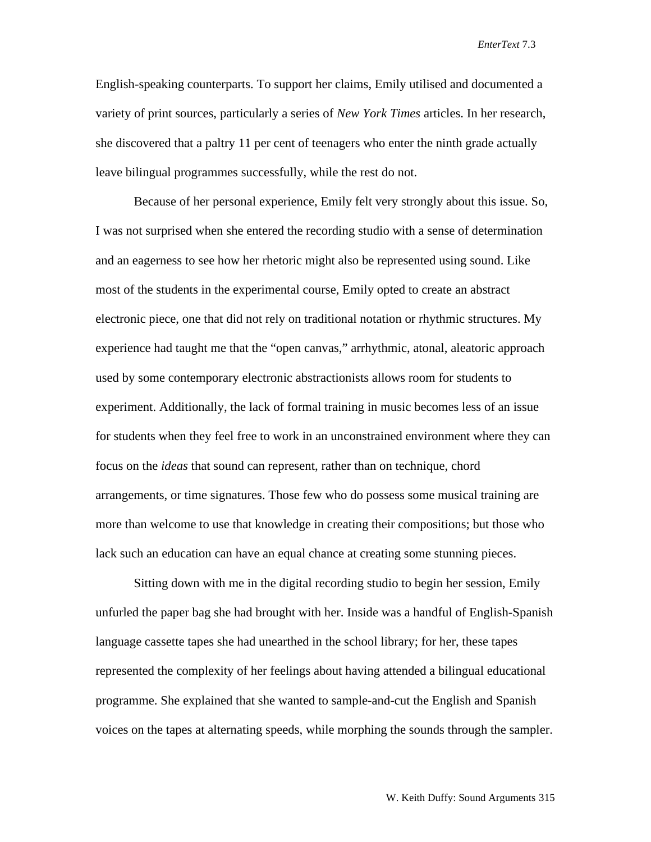English-speaking counterparts. To support her claims, Emily utilised and documented a variety of print sources, particularly a series of *New York Times* articles. In her research, she discovered that a paltry 11 per cent of teenagers who enter the ninth grade actually leave bilingual programmes successfully, while the rest do not.

Because of her personal experience, Emily felt very strongly about this issue. So, I was not surprised when she entered the recording studio with a sense of determination and an eagerness to see how her rhetoric might also be represented using sound. Like most of the students in the experimental course, Emily opted to create an abstract electronic piece, one that did not rely on traditional notation or rhythmic structures. My experience had taught me that the "open canvas," arrhythmic, atonal, aleatoric approach used by some contemporary electronic abstractionists allows room for students to experiment. Additionally, the lack of formal training in music becomes less of an issue for students when they feel free to work in an unconstrained environment where they can focus on the *ideas* that sound can represent, rather than on technique, chord arrangements, or time signatures. Those few who do possess some musical training are more than welcome to use that knowledge in creating their compositions; but those who lack such an education can have an equal chance at creating some stunning pieces.

Sitting down with me in the digital recording studio to begin her session, Emily unfurled the paper bag she had brought with her. Inside was a handful of English-Spanish language cassette tapes she had unearthed in the school library; for her, these tapes represented the complexity of her feelings about having attended a bilingual educational programme. She explained that she wanted to sample-and-cut the English and Spanish voices on the tapes at alternating speeds, while morphing the sounds through the sampler.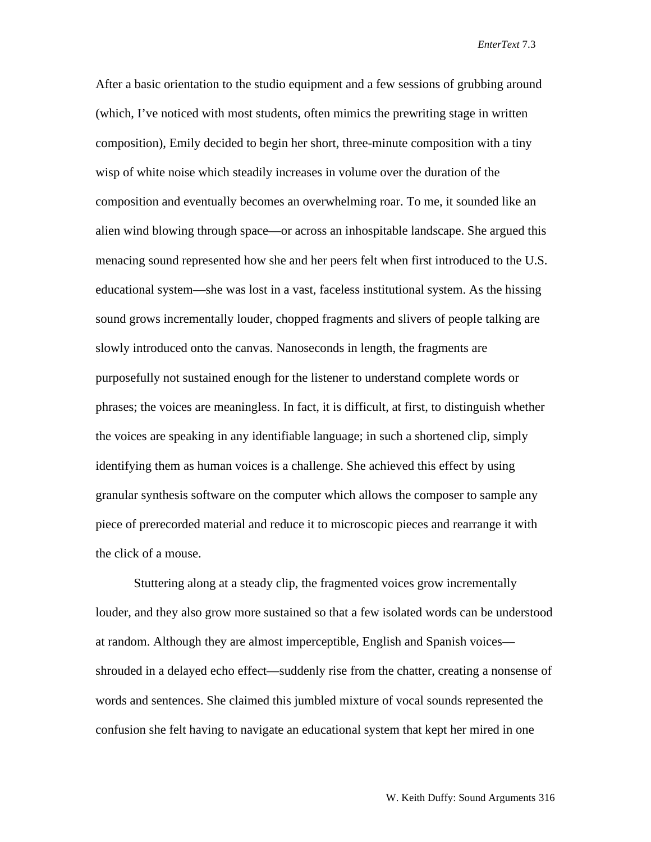After a basic orientation to the studio equipment and a few sessions of grubbing around (which, I've noticed with most students, often mimics the prewriting stage in written composition), Emily decided to begin her short, three-minute composition with a tiny wisp of white noise which steadily increases in volume over the duration of the composition and eventually becomes an overwhelming roar. To me, it sounded like an alien wind blowing through space—or across an inhospitable landscape. She argued this menacing sound represented how she and her peers felt when first introduced to the U.S. educational system—she was lost in a vast, faceless institutional system. As the hissing sound grows incrementally louder, chopped fragments and slivers of people talking are slowly introduced onto the canvas. Nanoseconds in length, the fragments are purposefully not sustained enough for the listener to understand complete words or phrases; the voices are meaningless. In fact, it is difficult, at first, to distinguish whether the voices are speaking in any identifiable language; in such a shortened clip, simply identifying them as human voices is a challenge. She achieved this effect by using granular synthesis software on the computer which allows the composer to sample any piece of prerecorded material and reduce it to microscopic pieces and rearrange it with the click of a mouse.

Stuttering along at a steady clip, the fragmented voices grow incrementally louder, and they also grow more sustained so that a few isolated words can be understood at random. Although they are almost imperceptible, English and Spanish voices shrouded in a delayed echo effect—suddenly rise from the chatter, creating a nonsense of words and sentences. She claimed this jumbled mixture of vocal sounds represented the confusion she felt having to navigate an educational system that kept her mired in one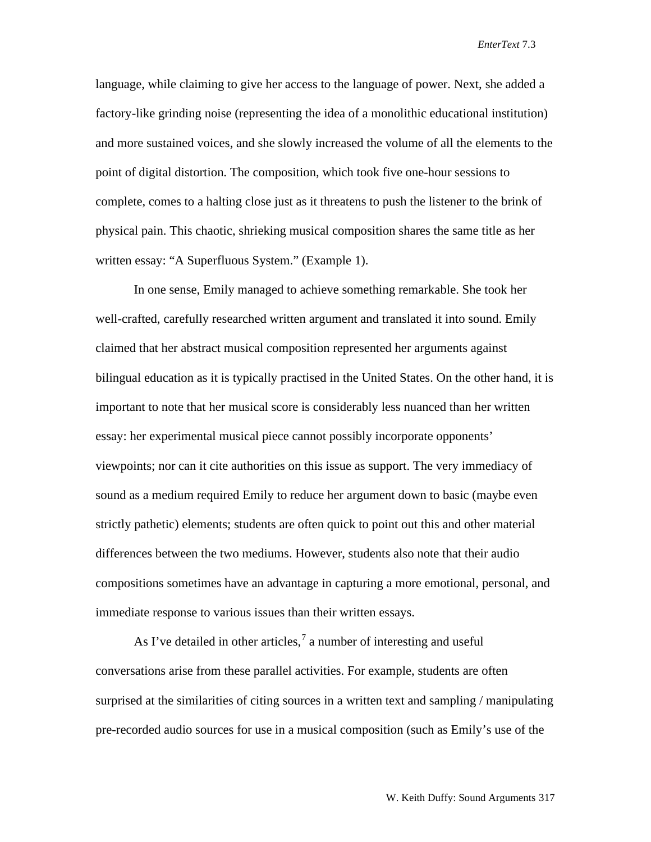language, while claiming to give her access to the language of power. Next, she added a factory-like grinding noise (representing the idea of a monolithic educational institution) and more sustained voices, and she slowly increased the volume of all the elements to the point of digital distortion. The composition, which took five one-hour sessions to complete, comes to a halting close just as it threatens to push the listener to the brink of physical pain. This chaotic, shrieking musical composition shares the same title as her written essay: "A Superfluous System." (Example 1).

In one sense, Emily managed to achieve something remarkable. She took her well-crafted, carefully researched written argument and translated it into sound. Emily claimed that her abstract musical composition represented her arguments against bilingual education as it is typically practised in the United States. On the other hand, it is important to note that her musical score is considerably less nuanced than her written essay: her experimental musical piece cannot possibly incorporate opponents' viewpoints; nor can it cite authorities on this issue as support. The very immediacy of sound as a medium required Emily to reduce her argument down to basic (maybe even strictly pathetic) elements; students are often quick to point out this and other material differences between the two mediums. However, students also note that their audio compositions sometimes have an advantage in capturing a more emotional, personal, and immediate response to various issues than their written essays.

As I've detailed in other articles,<sup>[7](#page-12-1)</sup> a number of interesting and useful conversations arise from these parallel activities. For example, students are often surprised at the similarities of citing sources in a written text and sampling / manipulating pre-recorded audio sources for use in a musical composition (such as Emily's use of the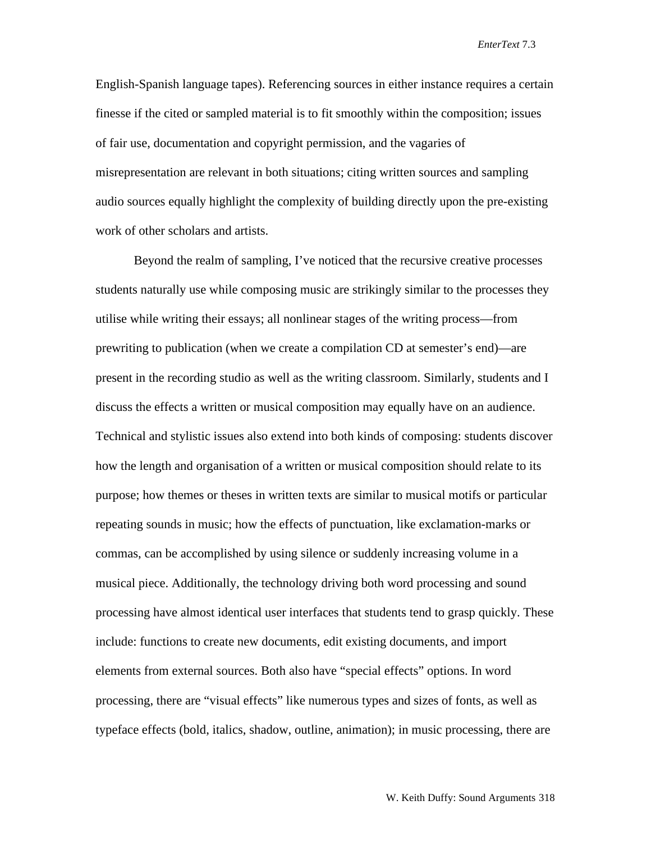English-Spanish language tapes). Referencing sources in either instance requires a certain finesse if the cited or sampled material is to fit smoothly within the composition; issues of fair use, documentation and copyright permission, and the vagaries of misrepresentation are relevant in both situations; citing written sources and sampling audio sources equally highlight the complexity of building directly upon the pre-existing work of other scholars and artists.

Beyond the realm of sampling, I've noticed that the recursive creative processes students naturally use while composing music are strikingly similar to the processes they utilise while writing their essays; all nonlinear stages of the writing process—from prewriting to publication (when we create a compilation CD at semester's end)—are present in the recording studio as well as the writing classroom. Similarly, students and I discuss the effects a written or musical composition may equally have on an audience. Technical and stylistic issues also extend into both kinds of composing: students discover how the length and organisation of a written or musical composition should relate to its purpose; how themes or theses in written texts are similar to musical motifs or particular repeating sounds in music; how the effects of punctuation, like exclamation-marks or commas, can be accomplished by using silence or suddenly increasing volume in a musical piece. Additionally, the technology driving both word processing and sound processing have almost identical user interfaces that students tend to grasp quickly. These include: functions to create new documents, edit existing documents, and import elements from external sources. Both also have "special effects" options. In word processing, there are "visual effects" like numerous types and sizes of fonts, as well as typeface effects (bold, italics, shadow, outline, animation); in music processing, there are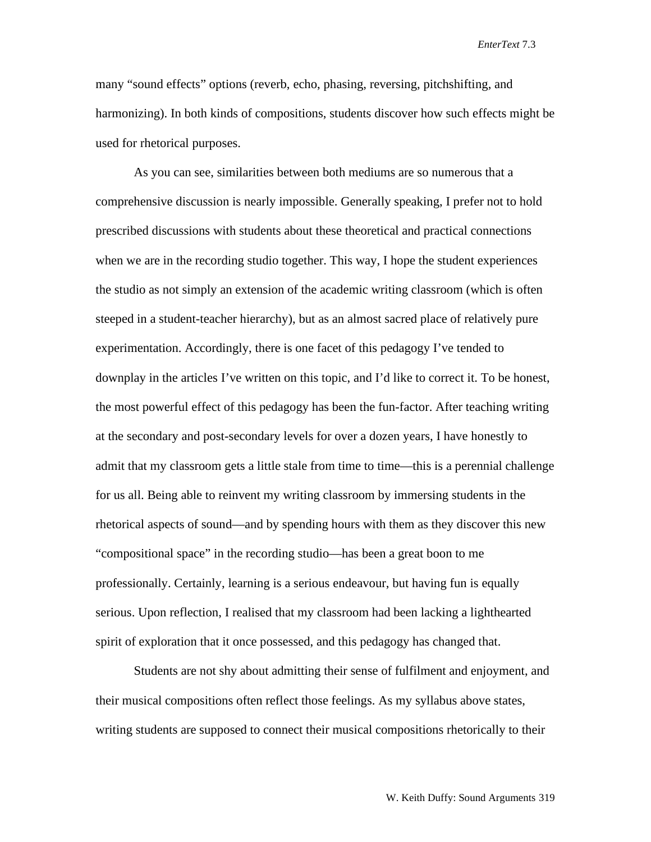many "sound effects" options (reverb, echo, phasing, reversing, pitchshifting, and harmonizing). In both kinds of compositions, students discover how such effects might be used for rhetorical purposes.

As you can see, similarities between both mediums are so numerous that a comprehensive discussion is nearly impossible. Generally speaking, I prefer not to hold prescribed discussions with students about these theoretical and practical connections when we are in the recording studio together. This way, I hope the student experiences the studio as not simply an extension of the academic writing classroom (which is often steeped in a student-teacher hierarchy), but as an almost sacred place of relatively pure experimentation. Accordingly, there is one facet of this pedagogy I've tended to downplay in the articles I've written on this topic, and I'd like to correct it. To be honest, the most powerful effect of this pedagogy has been the fun-factor. After teaching writing at the secondary and post-secondary levels for over a dozen years, I have honestly to admit that my classroom gets a little stale from time to time—this is a perennial challenge for us all. Being able to reinvent my writing classroom by immersing students in the rhetorical aspects of sound—and by spending hours with them as they discover this new "compositional space" in the recording studio—has been a great boon to me professionally. Certainly, learning is a serious endeavour, but having fun is equally serious. Upon reflection, I realised that my classroom had been lacking a lighthearted spirit of exploration that it once possessed, and this pedagogy has changed that.

Students are not shy about admitting their sense of fulfilment and enjoyment, and their musical compositions often reflect those feelings. As my syllabus above states, writing students are supposed to connect their musical compositions rhetorically to their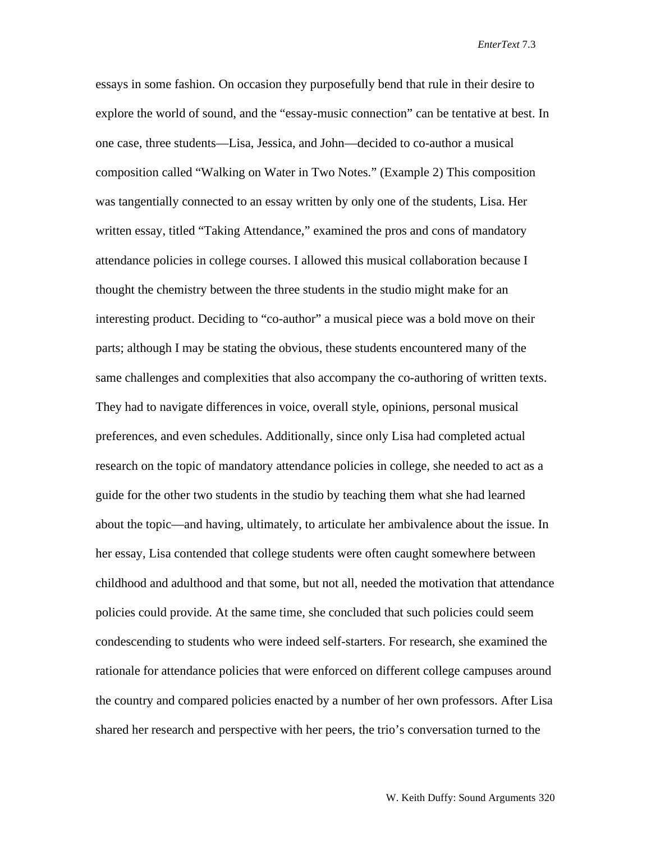essays in some fashion. On occasion they purposefully bend that rule in their desire to explore the world of sound, and the "essay-music connection" can be tentative at best. In one case, three students—Lisa, Jessica, and John—decided to co-author a musical composition called "Walking on Water in Two Notes." (Example 2) This composition was tangentially connected to an essay written by only one of the students, Lisa. Her written essay, titled "Taking Attendance," examined the pros and cons of mandatory attendance policies in college courses. I allowed this musical collaboration because I thought the chemistry between the three students in the studio might make for an interesting product. Deciding to "co-author" a musical piece was a bold move on their parts; although I may be stating the obvious, these students encountered many of the same challenges and complexities that also accompany the co-authoring of written texts. They had to navigate differences in voice, overall style, opinions, personal musical preferences, and even schedules. Additionally, since only Lisa had completed actual research on the topic of mandatory attendance policies in college, she needed to act as a guide for the other two students in the studio by teaching them what she had learned about the topic—and having, ultimately, to articulate her ambivalence about the issue. In her essay, Lisa contended that college students were often caught somewhere between childhood and adulthood and that some, but not all, needed the motivation that attendance policies could provide. At the same time, she concluded that such policies could seem condescending to students who were indeed self-starters. For research, she examined the rationale for attendance policies that were enforced on different college campuses around the country and compared policies enacted by a number of her own professors. After Lisa shared her research and perspective with her peers, the trio's conversation turned to the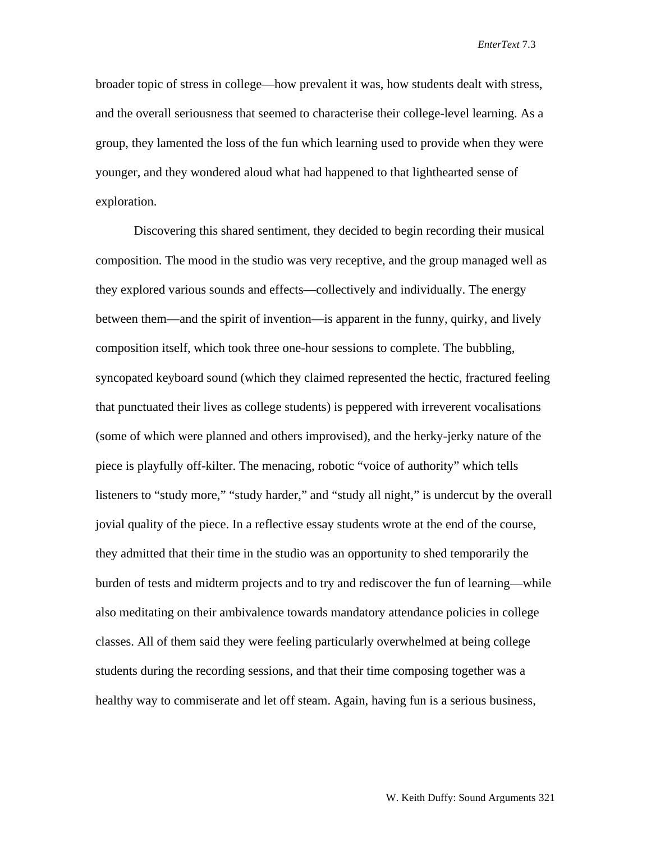broader topic of stress in college—how prevalent it was, how students dealt with stress, and the overall seriousness that seemed to characterise their college-level learning. As a group, they lamented the loss of the fun which learning used to provide when they were younger, and they wondered aloud what had happened to that lighthearted sense of exploration.

<span id="page-10-1"></span><span id="page-10-0"></span>Discovering this shared sentiment, they decided to begin recording their musical composition. The mood in the studio was very receptive, and the group managed well as they explored various sounds and effects—collectively and individually. The energy between them—and the spirit of invention—is apparent in the funny, quirky, and lively composition itself, which took three one-hour sessions to complete. The bubbling, syncopated keyboard sound (which they claimed represented the hectic, fractured feeling that punctuated their lives as college students) is peppered with irreverent vocalisations (some of which were planned and others improvised), and the herky-jerky nature of the piece is playfully off-kilter. The menacing, robotic "voice of authority" which tells listeners to "study more," "study harder," and "study all night," is undercut by the overall jovial quality of the piece. In a reflective essay students wrote at the end of the course, they admitted that their time in the studio was an opportunity to shed temporarily the burden of tests and midterm projects and to try and rediscover the fun of learning—while also meditating on their ambivalence towards mandatory attendance policies in college classes. All of them said they were feeling particularly overwhelmed at being college students during the recording sessions, and that their time composing together was a healthy way to commiserate and let off steam. Again, having fun is a serious business,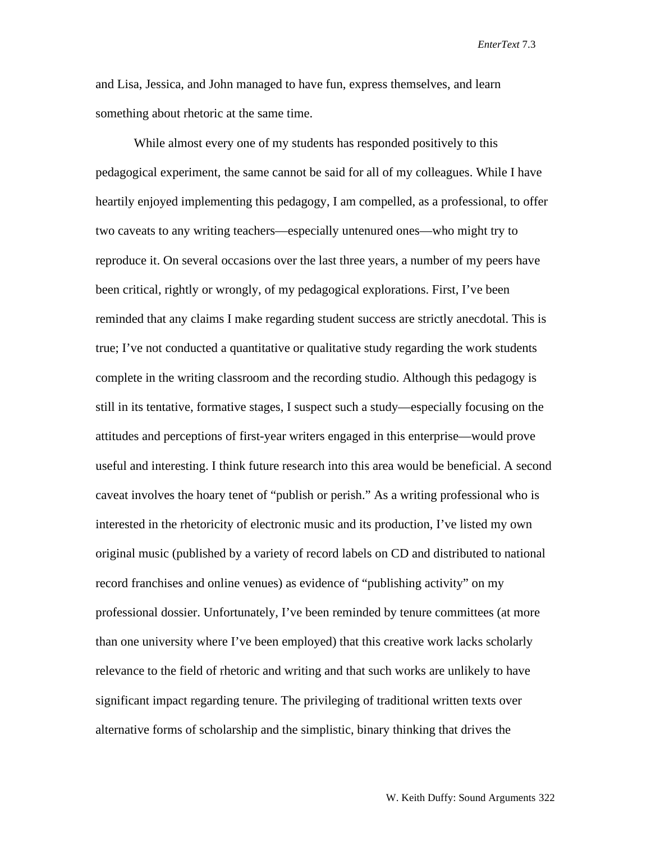and Lisa, Jessica, and John managed to have fun, express themselves, and learn something about rhetoric at the same time.

<span id="page-11-2"></span><span id="page-11-1"></span><span id="page-11-0"></span>While almost every one of my students has responded positively to this pedagogical experiment, the same cannot be said for all of my colleagues. While I have heartily enjoyed implementing this pedagogy, I am compelled, as a professional, to offer two caveats to any writing teachers—especially untenured ones—who might try to reproduce it. On several occasions over the last three years, a number of my peers have been critical, rightly or wrongly, of my pedagogical explorations. First, I've been reminded that any claims I make regarding student success are strictly anecdotal. This is true; I've not conducted a quantitative or qualitative study regarding the work students complete in the writing classroom and the recording studio. Although this pedagogy is still in its tentative, formative stages, I suspect such a study—especially focusing on the attitudes and perceptions of first-year writers engaged in this enterprise—would prove useful and interesting. I think future research into this area would be beneficial. A second caveat involves the hoary tenet of "publish or perish." As a writing professional who is interested in the rhetoricity of electronic music and its production, I've listed my own original music (published by a variety of record labels on CD and distributed to national record franchises and online venues) as evidence of "publishing activity" on my professional dossier. Unfortunately, I've been reminded by tenure committees (at more than one university where I've been employed) that this creative work lacks scholarly relevance to the field of rhetoric and writing and that such works are unlikely to have significant impact regarding tenure. The privileging of traditional written texts over alternative forms of scholarship and the simplistic, binary thinking that drives the